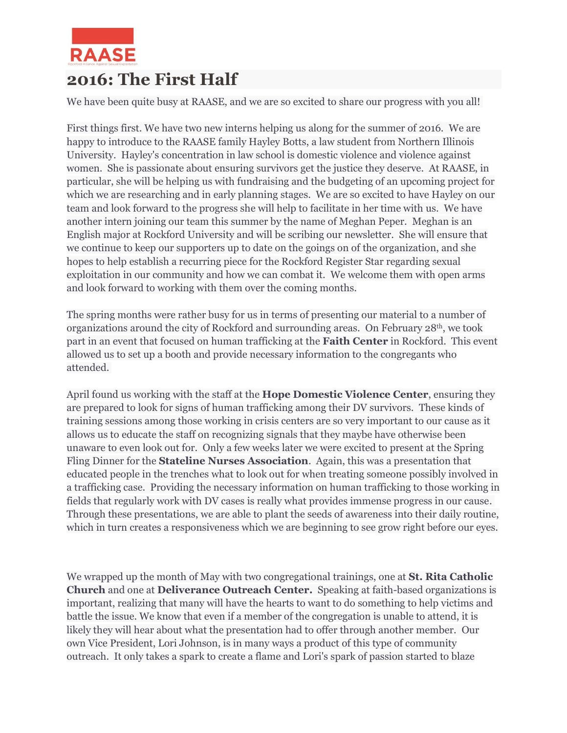

## **2016: The First Half**

We have been quite busy at RAASE, and we are so excited to share our progress with you all!

First things first. We have two new interns helping us along for the summer of 2016. We are happy to introduce to the RAASE family Hayley Botts, a law student from Northern Illinois University. Hayley's concentration in law school is domestic violence and violence against women. She is passionate about ensuring survivors get the justice they deserve. At RAASE, in particular, she will be helping us with fundraising and the budgeting of an upcoming project for which we are researching and in early planning stages. We are so excited to have Hayley on our team and look forward to the progress she will help to facilitate in her time with us. We have another intern joining our team this summer by the name of Meghan Peper. Meghan is an English major at Rockford University and will be scribing our newsletter. She will ensure that we continue to keep our supporters up to date on the goings on of the organization, and she hopes to help establish a recurring piece for the Rockford Register Star regarding sexual exploitation in our community and how we can combat it. We welcome them with open arms and look forward to working with them over the coming months.

The spring months were rather busy for us in terms of presenting our material to a number of organizations around the city of Rockford and surrounding areas. On February 28th, we took part in an event that focused on human trafficking at the **Faith Center** in Rockford. This event allowed us to set up a booth and provide necessary information to the congregants who attended.

April found us working with the staff at the **Hope Domestic Violence Center**, ensuring they are prepared to look for signs of human trafficking among their DV survivors. These kinds of training sessions among those working in crisis centers are so very important to our cause as it allows us to educate the staff on recognizing signals that they maybe have otherwise been unaware to even look out for. Only a few weeks later we were excited to present at the Spring Fling Dinner for the **Stateline Nurses Association**. Again, this was a presentation that educated people in the trenches what to look out for when treating someone possibly involved in a trafficking case. Providing the necessary information on human trafficking to those working in fields that regularly work with DV cases is really what provides immense progress in our cause. Through these presentations, we are able to plant the seeds of awareness into their daily routine, which in turn creates a responsiveness which we are beginning to see grow right before our eyes.

We wrapped up the month of May with two congregational trainings, one at **St. Rita Catholic Church** and one at **Deliverance Outreach Center.** Speaking at faith-based organizations is important, realizing that many will have the hearts to want to do something to help victims and battle the issue. We know that even if a member of the congregation is unable to attend, it is likely they will hear about what the presentation had to offer through another member. Our own Vice President, Lori Johnson, is in many ways a product of this type of community outreach. It only takes a spark to create a flame and Lori's spark of passion started to blaze